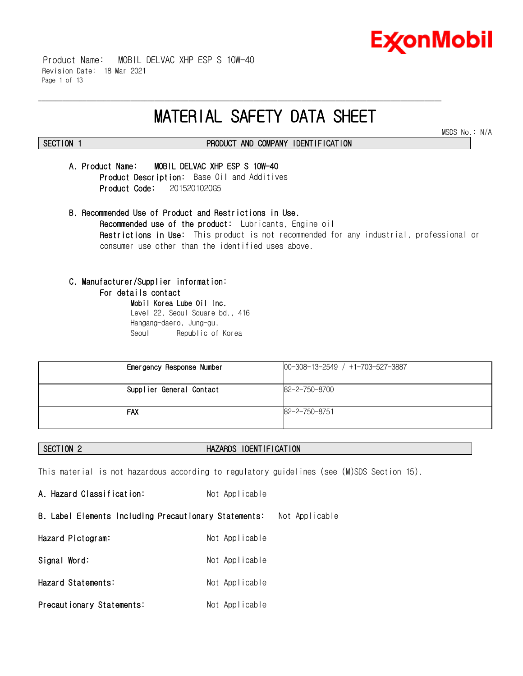

 Product Name: MOBIL DELVAC XHP ESP S 10W-40 Revision Date: 18 Mar 2021 Page 1 of 13

# **MATERIAL SAFETY DATA SHEET**

\_\_\_\_\_\_\_\_\_\_\_\_\_\_\_\_\_\_\_\_\_\_\_\_\_\_\_\_\_\_\_\_\_\_\_\_\_\_\_\_\_\_\_\_\_\_\_\_\_\_\_\_\_\_\_\_\_\_\_\_\_\_\_\_\_\_\_\_\_\_\_\_\_\_\_\_\_\_\_\_\_\_\_\_\_\_\_\_\_\_\_\_\_\_\_\_\_\_\_\_\_\_\_\_\_\_\_\_\_\_\_\_\_\_\_\_\_\_

MSDS No.: N/A

### **SECTION 1 PRODUCT AND COMPANY IDENTIFICATION**

#### **A. Product Name: MOBIL DELVAC XHP ESP S 10W-40 Product Description:** Base Oil and Additives **Product Code:** 2015201020G5

**B. Recommended Use of Product and Restrictions in Use. Recommended use of the product:** Lubricants, Engine oil **Restrictions in Use:** This product is not recommended for any industrial, professional or consumer use other than the identified uses above.

### **C. Manufacturer/Supplier information:**

#### **For details contact**

**Mobil Korea Lube Oil Inc.** Level 22, Seoul Square bd., 416 Hangang-daero, Jung-gu, Seoul Republic of Korea

| Emergency Response Number | 00-308-13-2549 / +1-703-527-3887 |
|---------------------------|----------------------------------|
| Supplier General Contact  | 82-2-750-8700                    |
| <b>FAX</b>                | 82-2-750-8751                    |

### **SECTION 2 HAZARDS IDENTIFICATION**

This material is not hazardous according to regulatory guidelines (see (M)SDS Section 15).

A. Hazard Classification: Not Applicable **B. Label Elements Including Precautionary Statements:** Not Applicable **Hazard Pictogram:** Not Applicable Signal Word: Not Applicable **Hazard Statements:** Not Applicable **Precautionary Statements:** Not Applicable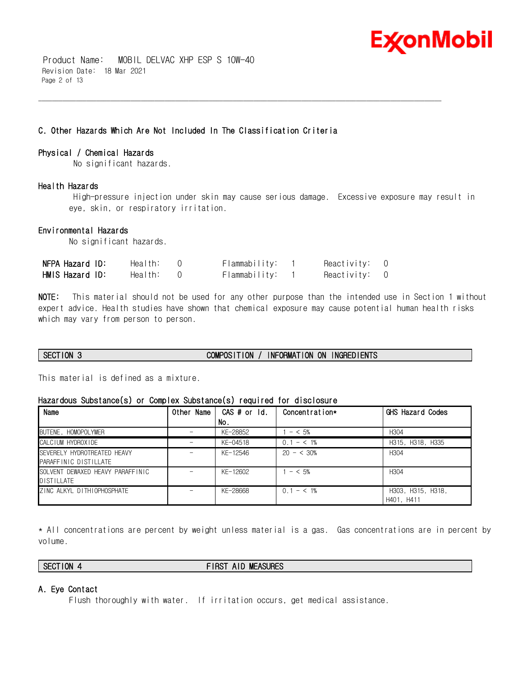

 Product Name: MOBIL DELVAC XHP ESP S 10W-40 Revision Date: 18 Mar 2021 Page 2 of 13

#### **C. Other Hazards Which Are Not Included In The Classification Criteria**

#### **Physical / Chemical Hazards**

No significant hazards.

#### **Health Hazards**

 High-pressure injection under skin may cause serious damage. Excessive exposure may result in eye, skin, or respiratory irritation.

\_\_\_\_\_\_\_\_\_\_\_\_\_\_\_\_\_\_\_\_\_\_\_\_\_\_\_\_\_\_\_\_\_\_\_\_\_\_\_\_\_\_\_\_\_\_\_\_\_\_\_\_\_\_\_\_\_\_\_\_\_\_\_\_\_\_\_\_\_\_\_\_\_\_\_\_\_\_\_\_\_\_\_\_\_\_\_\_\_\_\_\_\_\_\_\_\_\_\_\_\_\_\_\_\_\_\_\_\_\_\_\_\_\_\_\_\_\_

#### **Environmental Hazards**

No significant hazards.

| NFPA Hazard ID: | Health: I | Flammability: | Reactivity: 0 |  |
|-----------------|-----------|---------------|---------------|--|
| HMIS Hazard ID: | Health: I | Flammability: | Reactivity: 0 |  |

**NOTE:** This material should not be used for any other purpose than the intended use in Section 1 without expert advice. Health studies have shown that chemical exposure may cause potential human health risks which may vary from person to person.

### **SECTION 3 COMPOSITION / INFORMATION ON INGREDIENTS**

This material is defined as a mixture.

#### **Hazardous Substance(s) or Complex Substance(s) required for disclosure**

| Name                                                 | Other Name | CAS # or Id. | Concentration* | GHS Hazard Codes                |
|------------------------------------------------------|------------|--------------|----------------|---------------------------------|
|                                                      |            | No.          |                |                                 |
| BUTENE, HOMOPOLYMER                                  |            | KE-28852     | $- < 5\%$      | H <sub>304</sub>                |
| CALCIUM HYDROXIDE                                    |            | KE-04518     | $0.1 - 5.1\%$  | H315, H318, H335                |
| SEVERELY HYDROTREATED HEAVY<br>PARAFFINIC DISTILLATE |            | KF-12546     | $20 - 530%$    | H <sub>304</sub>                |
| SOLVENT DEWAXED HEAVY PARAFFINIC<br>DISTILLATE       |            | KF-12602     | $- < 5\%$      | H <sub>304</sub>                |
| ZINC ALKYL DITHIOPHOSPHATE                           |            | KF-28668     | $0.1 - 5.1\%$  | H303, H315, H318,<br>H401, H411 |

\* All concentrations are percent by weight unless material is a gas. Gas concentrations are in percent by volume.

**SECTION 4 FIRST AID MEASURES**

#### **A. Eye Contact**

Flush thoroughly with water. If irritation occurs, get medical assistance.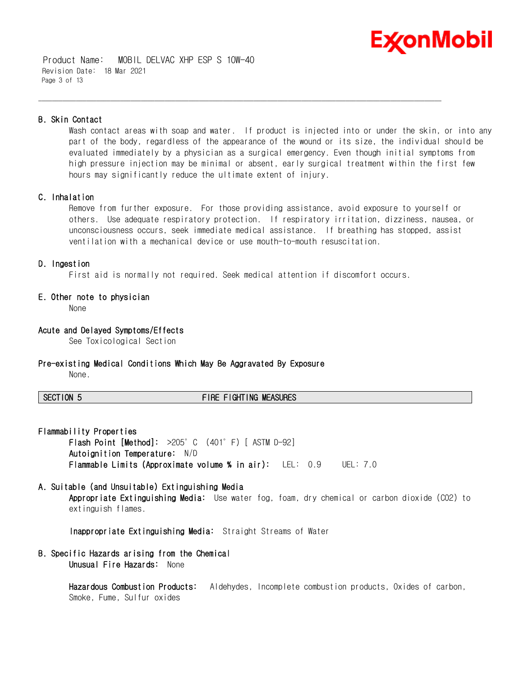

 Product Name: MOBIL DELVAC XHP ESP S 10W-40 Revision Date: 18 Mar 2021 Page 3 of 13

#### **B. Skin Contact**

Wash contact areas with soap and water. If product is injected into or under the skin, or into any part of the body, regardless of the appearance of the wound or its size, the individual should be evaluated immediately by a physician as a surgical emergency. Even though initial symptoms from high pressure injection may be minimal or absent, early surgical treatment within the first few hours may significantly reduce the ultimate extent of injury.

#### **C. Inhalation**

Remove from further exposure. For those providing assistance, avoid exposure to yourself or others. Use adequate respiratory protection. If respiratory irritation, dizziness, nausea, or unconsciousness occurs, seek immediate medical assistance. If breathing has stopped, assist ventilation with a mechanical device or use mouth-to-mouth resuscitation.

#### **D. Ingestion**

First aid is normally not required. Seek medical attention if discomfort occurs.

\_\_\_\_\_\_\_\_\_\_\_\_\_\_\_\_\_\_\_\_\_\_\_\_\_\_\_\_\_\_\_\_\_\_\_\_\_\_\_\_\_\_\_\_\_\_\_\_\_\_\_\_\_\_\_\_\_\_\_\_\_\_\_\_\_\_\_\_\_\_\_\_\_\_\_\_\_\_\_\_\_\_\_\_\_\_\_\_\_\_\_\_\_\_\_\_\_\_\_\_\_\_\_\_\_\_\_\_\_\_\_\_\_\_\_\_\_\_

#### **E. Other note to physician**

None

#### **Acute and Delayed Symptoms/Effects**

See Toxicological Section

#### **Pre-existing Medical Conditions Which May Be Aggravated By Exposure**

None.

#### **SECTION 5 FIRE FIGHTING MEASURES**

- **Flammability Properties Flash Point [Method]:** >205°C (401°F) [ ASTM D-92] **Autoignition Temperature:** N/D **Flammable Limits (Approximate volume % in air):** LEL: 0.9 UEL: 7.0
- **A. Suitable (and Unsuitable) Extinguishing Media Appropriate Extinguishing Media:** Use water fog, foam, dry chemical or carbon dioxide (CO2) to extinguish flames.

**Inappropriate Extinguishing Media:** Straight Streams of Water

**B. Specific Hazards arising from the Chemical Unusual Fire Hazards:** None

> **Hazardous Combustion Products:** Aldehydes, Incomplete combustion products, Oxides of carbon, Smoke, Fume, Sulfur oxides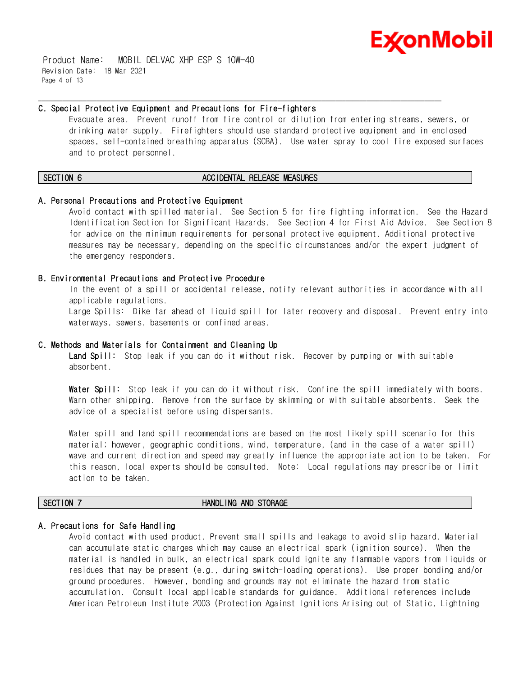

 Product Name: MOBIL DELVAC XHP ESP S 10W-40 Revision Date: 18 Mar 2021 Page 4 of 13

#### **C. Special Protective Equipment and Precautions for Fire-fighters**

Evacuate area. Prevent runoff from fire control or dilution from entering streams, sewers, or drinking water supply. Firefighters should use standard protective equipment and in enclosed spaces, self-contained breathing apparatus (SCBA). Use water spray to cool fire exposed surfaces and to protect personnel.

\_\_\_\_\_\_\_\_\_\_\_\_\_\_\_\_\_\_\_\_\_\_\_\_\_\_\_\_\_\_\_\_\_\_\_\_\_\_\_\_\_\_\_\_\_\_\_\_\_\_\_\_\_\_\_\_\_\_\_\_\_\_\_\_\_\_\_\_\_\_\_\_\_\_\_\_\_\_\_\_\_\_\_\_\_\_\_\_\_\_\_\_\_\_\_\_\_\_\_\_\_\_\_\_\_\_\_\_\_\_\_\_\_\_\_\_\_\_

#### **SECTION 6 ACCIDENTAL RELEASE MEASURES**

#### **A. Personal Precautions and Protective Equipment**

Avoid contact with spilled material. See Section 5 for fire fighting information. See the Hazard Identification Section for Significant Hazards. See Section 4 for First Aid Advice. See Section 8 for advice on the minimum requirements for personal protective equipment. Additional protective measures may be necessary, depending on the specific circumstances and/or the expert judgment of the emergency responders.

#### **B. Environmental Precautions and Protective Procedure**

In the event of a spill or accidental release, notify relevant authorities in accordance with all applicable regulations.

Large Spills: Dike far ahead of liquid spill for later recovery and disposal. Prevent entry into waterways, sewers, basements or confined areas.

#### **C. Methods and Materials for Containment and Cleaning Up**

**Land Spill:** Stop leak if you can do it without risk. Recover by pumping or with suitable absorbent.

**Water Spill:** Stop leak if you can do it without risk. Confine the spill immediately with booms. Warn other shipping. Remove from the surface by skimming or with suitable absorbents. Seek the advice of a specialist before using dispersants.

Water spill and land spill recommendations are based on the most likely spill scenario for this material; however, geographic conditions, wind, temperature, (and in the case of a water spill) wave and current direction and speed may greatly influence the appropriate action to be taken. For this reason, local experts should be consulted. Note: Local regulations may prescribe or limit action to be taken.

### **SECTION 7 HANDLING AND STORAGE**

#### **A. Precautions for Safe Handling**

Avoid contact with used product. Prevent small spills and leakage to avoid slip hazard. Material can accumulate static charges which may cause an electrical spark (ignition source). When the material is handled in bulk, an electrical spark could ignite any flammable vapors from liquids or residues that may be present (e.g., during switch-loading operations). Use proper bonding and/or ground procedures. However, bonding and grounds may not eliminate the hazard from static accumulation. Consult local applicable standards for guidance. Additional references include American Petroleum Institute 2003 (Protection Against Ignitions Arising out of Static, Lightning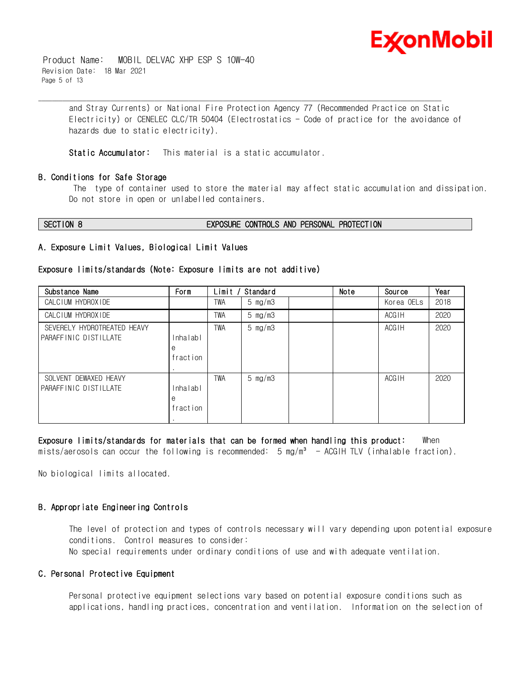

 Product Name: MOBIL DELVAC XHP ESP S 10W-40 Revision Date: 18 Mar 2021 Page 5 of 13

> and Stray Currents) or National Fire Protection Agency 77 (Recommended Practice on Static Electricity) or CENELEC CLC/TR 50404 (Electrostatics - Code of practice for the avoidance of hazards due to static electricity).

\_\_\_\_\_\_\_\_\_\_\_\_\_\_\_\_\_\_\_\_\_\_\_\_\_\_\_\_\_\_\_\_\_\_\_\_\_\_\_\_\_\_\_\_\_\_\_\_\_\_\_\_\_\_\_\_\_\_\_\_\_\_\_\_\_\_\_\_\_\_\_\_\_\_\_\_\_\_\_\_\_\_\_\_\_\_\_\_\_\_\_\_\_\_\_\_\_\_\_\_\_\_\_\_\_\_\_\_\_\_\_\_\_\_\_\_\_\_

**Static Accumulator:** This material is a static accumulator.

#### **B. Conditions for Safe Storage**

 The type of container used to store the material may affect static accumulation and dissipation. Do not store in open or unlabelled containers.

#### **SECTION 8 EXPOSURE CONTROLS AND PERSONAL PROTECTION**

#### **A. Exposure Limit Values, Biological Limit Values**

#### **Exposure limits/standards (Note: Exposure limits are not additive)**

| Substance Name                                       | Form                      | Limit | Standard           | Note | Source       | Year |
|------------------------------------------------------|---------------------------|-------|--------------------|------|--------------|------|
| CALCIUM HYDROXIDE                                    |                           | TWA   | $5 \text{ mg/m}$ 3 |      | Korea OELs   | 2018 |
| CALCIUM HYDROXIDE                                    |                           | TWA   | 5 $mg/m3$          |      | ACGIH        | 2020 |
| SEVERELY HYDROTREATED HEAVY<br>PARAFFINIC DISTILLATE | Inhalab1<br>e<br>fraction | TWA   | $5 \text{ mg/m}$   |      | ACGIH        | 2020 |
| SOLVENT DEWAXED HEAVY<br>PARAFFINIC DISTILLATE       | Inhalab1<br>e<br>fraction | TWA   | $5 \text{ mg/m}$   |      | <b>ACGIH</b> | 2020 |

#### **Exposure limits/standards for materials that can be formed when handling this product:** When

mists/aerosols can occur the following is recommended:  $5 \text{ mg/m}^3$  - ACGIH TLV (inhalable fraction).

No biological limits allocated.

#### **B. Appropriate Engineering Controls**

The level of protection and types of controls necessary will vary depending upon potential exposure conditions. Control measures to consider:

No special requirements under ordinary conditions of use and with adequate ventilation.

#### **C. Personal Protective Equipment**

Personal protective equipment selections vary based on potential exposure conditions such as applications, handling practices, concentration and ventilation. Information on the selection of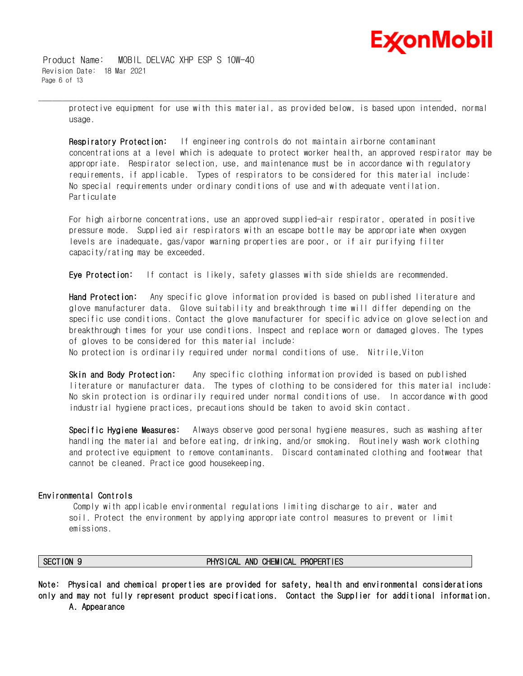

 Product Name: MOBIL DELVAC XHP ESP S 10W-40 Revision Date: 18 Mar 2021 Page 6 of 13

> protective equipment for use with this material, as provided below, is based upon intended, normal usage.

\_\_\_\_\_\_\_\_\_\_\_\_\_\_\_\_\_\_\_\_\_\_\_\_\_\_\_\_\_\_\_\_\_\_\_\_\_\_\_\_\_\_\_\_\_\_\_\_\_\_\_\_\_\_\_\_\_\_\_\_\_\_\_\_\_\_\_\_\_\_\_\_\_\_\_\_\_\_\_\_\_\_\_\_\_\_\_\_\_\_\_\_\_\_\_\_\_\_\_\_\_\_\_\_\_\_\_\_\_\_\_\_\_\_\_\_\_\_

**Respiratory Protection:** If engineering controls do not maintain airborne contaminant concentrations at a level which is adequate to protect worker health, an approved respirator may be appropriate. Respirator selection, use, and maintenance must be in accordance with regulatory requirements, if applicable. Types of respirators to be considered for this material include: No special requirements under ordinary conditions of use and with adequate ventilation. Particulate

For high airborne concentrations, use an approved supplied-air respirator, operated in positive pressure mode. Supplied air respirators with an escape bottle may be appropriate when oxygen levels are inadequate, gas/vapor warning properties are poor, or if air purifying filter capacity/rating may be exceeded.

**Eye Protection:** If contact is likely, safety glasses with side shields are recommended.

**Hand Protection:** Any specific glove information provided is based on published literature and glove manufacturer data. Glove suitability and breakthrough time will differ depending on the specific use conditions. Contact the glove manufacturer for specific advice on glove selection and breakthrough times for your use conditions. Inspect and replace worn or damaged gloves. The types of gloves to be considered for this material include:

No protection is ordinarily required under normal conditions of use. Nitrile,Viton

**Skin and Body Protection:** Any specific clothing information provided is based on published literature or manufacturer data. The types of clothing to be considered for this material include: No skin protection is ordinarily required under normal conditions of use. In accordance with good industrial hygiene practices, precautions should be taken to avoid skin contact.

**Specific Hygiene Measures:** Always observe good personal hygiene measures, such as washing after handling the material and before eating, drinking, and/or smoking. Routinely wash work clothing and protective equipment to remove contaminants. Discard contaminated clothing and footwear that cannot be cleaned. Practice good housekeeping.

#### **Environmental Controls**

 Comply with applicable environmental regulations limiting discharge to air, water and soil. Protect the environment by applying appropriate control measures to prevent or limit emissions.

#### **SECTION 9 PHYSICAL AND CHEMICAL PROPERTIES**

**Note: Physical and chemical properties are provided for safety, health and environmental considerations only and may not fully represent product specifications. Contact the Supplier for additional information.**

**A. Appearance**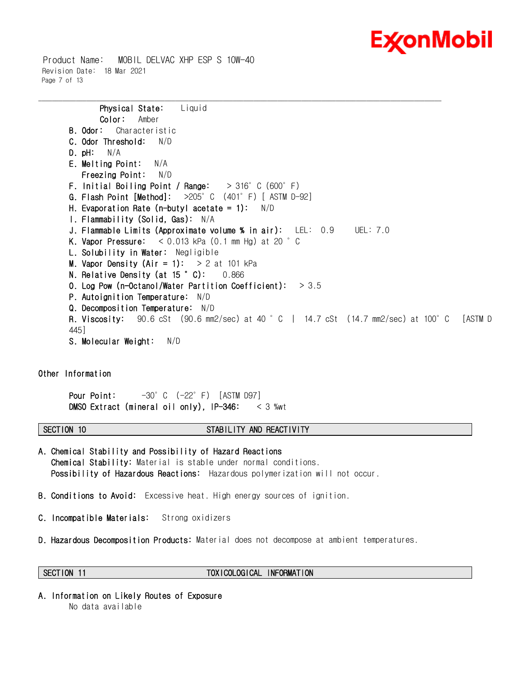

 Product Name: MOBIL DELVAC XHP ESP S 10W-40 Revision Date: 18 Mar 2021 Page 7 of 13

```
Physical State: Liquid 
      Color: Amber
B. Odor: Characteristic
C. Odor Threshold: N/D
D. pH: N/A
E. Melting Point: N/A
   Freezing Point: N/D
F. Initial Boiling Point / Range: > 316°C (600°F)
G. Flash Point [Method]: >205°C (401°F) [ ASTM D-92]
H. Evaporation Rate (n-butyl acetate = 1): N/D 
I. Flammability (Solid, Gas): N/A
J. Flammable Limits (Approximate volume % in air): LEL: 0.9 UEL: 7.0
K. Vapor Pressure: < 0.013 kPa (0.1 mm Hg) at 20 °C
L. Solubility in Water: Negligible
M. Vapor Density (Air = 1): > 2 at 101 kPa
N. Relative Density (at 15 °C): 0.866 
O. Log Pow (n-Octanol/Water Partition Coefficient): > 3.5
P. Autoignition Temperature: N/D 
Q. Decomposition Temperature: N/D
R. Viscosity: 90.6 cSt (90.6 mm2/sec) at 40 °C | 14.7 cSt (14.7 mm2/sec) at 100°C [ASTM D 
445]
S. Molecular Weight: N/D
```
\_\_\_\_\_\_\_\_\_\_\_\_\_\_\_\_\_\_\_\_\_\_\_\_\_\_\_\_\_\_\_\_\_\_\_\_\_\_\_\_\_\_\_\_\_\_\_\_\_\_\_\_\_\_\_\_\_\_\_\_\_\_\_\_\_\_\_\_\_\_\_\_\_\_\_\_\_\_\_\_\_\_\_\_\_\_\_\_\_\_\_\_\_\_\_\_\_\_\_\_\_\_\_\_\_\_\_\_\_\_\_\_\_\_\_\_\_\_

#### **Other Information**

**Pour Point:** -30°C (-22°F) [ASTM D97] **DMSO Extract (mineral oil only), IP-346:** < 3 %wt

#### **SECTION 10 STABILITY AND REACTIVITY**

- **A. Chemical Stability and Possibility of Hazard Reactions Chemical Stability:** Material is stable under normal conditions.  **Possibility of Hazardous Reactions:** Hazardous polymerization will not occur.
- **B. Conditions to Avoid:** Excessive heat. High energy sources of ignition.
- **C. Incompatible Materials:** Strong oxidizers
- **D. Hazardous Decomposition Products:** Material does not decompose at ambient temperatures.

#### **SECTION 11 TOXICOLOGICAL INFORMATION**

**A. Information on Likely Routes of Exposure** No data available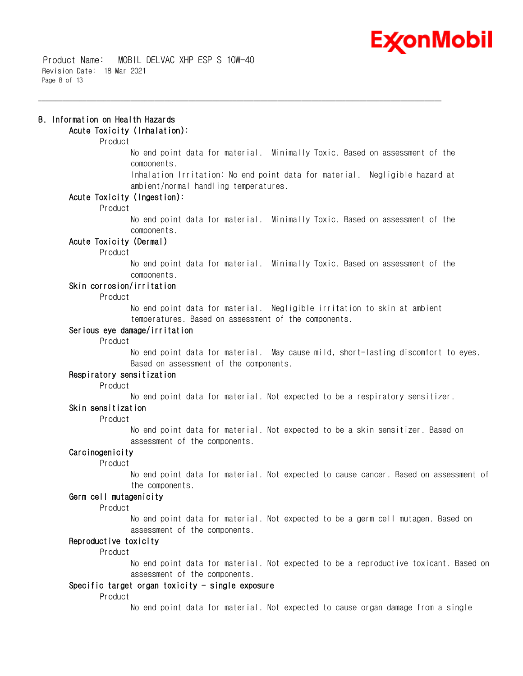

 Product Name: MOBIL DELVAC XHP ESP S 10W-40 Revision Date: 18 Mar 2021 Page 8 of 13

## **B. Information on Health Hazards**

### **Acute Toxicity (Inhalation):**

Product

No end point data for material. Minimally Toxic. Based on assessment of the components.

\_\_\_\_\_\_\_\_\_\_\_\_\_\_\_\_\_\_\_\_\_\_\_\_\_\_\_\_\_\_\_\_\_\_\_\_\_\_\_\_\_\_\_\_\_\_\_\_\_\_\_\_\_\_\_\_\_\_\_\_\_\_\_\_\_\_\_\_\_\_\_\_\_\_\_\_\_\_\_\_\_\_\_\_\_\_\_\_\_\_\_\_\_\_\_\_\_\_\_\_\_\_\_\_\_\_\_\_\_\_\_\_\_\_\_\_\_\_

Inhalation Irritation: No end point data for material. Negligible hazard at ambient/normal handling temperatures.

### **Acute Toxicity (Ingestion):**

Product

No end point data for material. Minimally Toxic. Based on assessment of the components.

#### **Acute Toxicity (Dermal)**

Product

No end point data for material. Minimally Toxic. Based on assessment of the components.

#### **Skin corrosion/irritation**

Product

No end point data for material. Negligible irritation to skin at ambient temperatures. Based on assessment of the components.

#### **Serious eye damage/irritation**

Product

No end point data for material. May cause mild, short-lasting discomfort to eyes. Based on assessment of the components.

#### **Respiratory sensitization**

Product

No end point data for material. Not expected to be a respiratory sensitizer.

### **Skin sensitization**

Product

No end point data for material. Not expected to be a skin sensitizer. Based on assessment of the components.

### **Carcinogenicity**

Product

No end point data for material. Not expected to cause cancer. Based on assessment of the components.

#### **Germ cell mutagenicity**

Product

No end point data for material. Not expected to be a germ cell mutagen. Based on assessment of the components.

#### **Reproductive toxicity**

Product

No end point data for material. Not expected to be a reproductive toxicant. Based on assessment of the components.

#### **Specific target organ toxicity - single exposure**

Product

No end point data for material. Not expected to cause organ damage from a single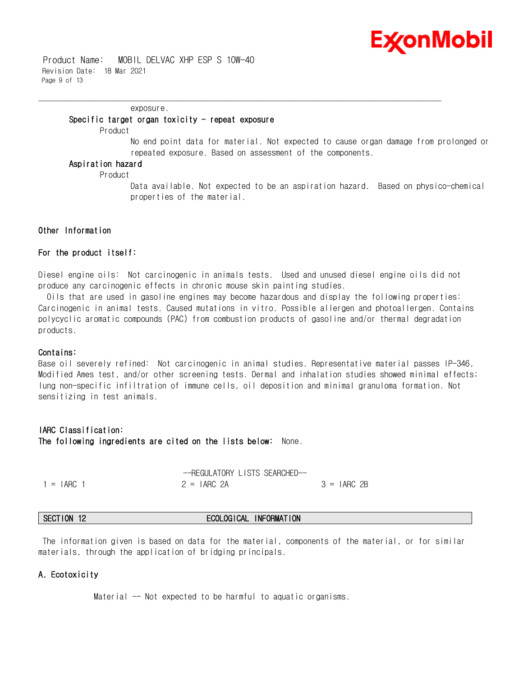

 Product Name: MOBIL DELVAC XHP ESP S 10W-40 Revision Date: 18 Mar 2021 Page 9 of 13

exposure.

### **Specific target organ toxicity - repeat exposure**

Product

No end point data for material. Not expected to cause organ damage from prolonged or repeated exposure. Based on assessment of the components.

**Aspiration hazard**

Product

Data available. Not expected to be an aspiration hazard. Based on physico-chemical properties of the material.

#### **Other Information**

#### **For the product itself:**

Diesel engine oils: Not carcinogenic in animals tests. Used and unused diesel engine oils did not produce any carcinogenic effects in chronic mouse skin painting studies.

\_\_\_\_\_\_\_\_\_\_\_\_\_\_\_\_\_\_\_\_\_\_\_\_\_\_\_\_\_\_\_\_\_\_\_\_\_\_\_\_\_\_\_\_\_\_\_\_\_\_\_\_\_\_\_\_\_\_\_\_\_\_\_\_\_\_\_\_\_\_\_\_\_\_\_\_\_\_\_\_\_\_\_\_\_\_\_\_\_\_\_\_\_\_\_\_\_\_\_\_\_\_\_\_\_\_\_\_\_\_\_\_\_\_\_\_\_\_

 Oils that are used in gasoline engines may become hazardous and display the following properties: Carcinogenic in animal tests. Caused mutations in vitro. Possible allergen and photoallergen. Contains polycyclic aromatic compounds (PAC) from combustion products of gasoline and/or thermal degradation products.

#### **Contains:**

Base oil severely refined: Not carcinogenic in animal studies. Representative material passes IP-346, Modified Ames test, and/or other screening tests. Dermal and inhalation studies showed minimal effects; lung non-specific infiltration of immune cells, oil deposition and minimal granuloma formation. Not sensitizing in test animals.

#### **IARC Classification: The following ingredients are cited on the lists below:** None.

|              | --REGULATORY LISTS SEARCHED-- |              |
|--------------|-------------------------------|--------------|
| $1 = IARC$ 1 | $2 = IARC$ 2A                 | $3 = IARG2B$ |

### **SECTION 12 ECOLOGICAL INFORMATION**

 The information given is based on data for the material, components of the material, or for similar materials, through the application of bridging principals.

#### **A. Ecotoxicity**

Material -- Not expected to be harmful to aquatic organisms.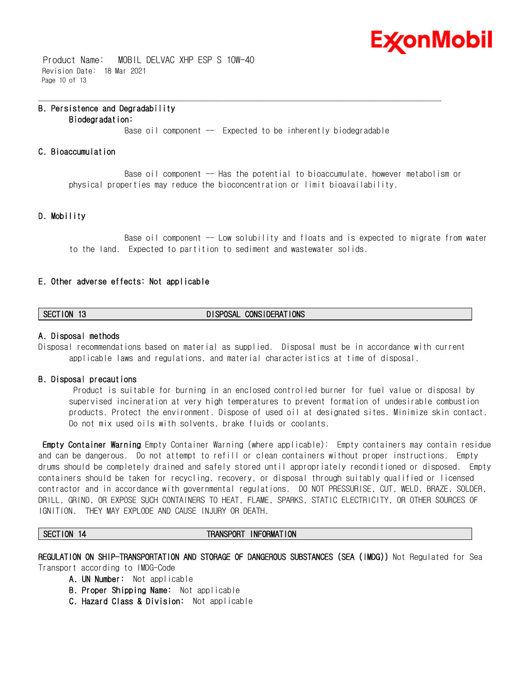

 Product Name: MOBIL DELVAC XHP ESP S 10W-40 Revision Date: 18 Mar 2021 Page 10 of 13

#### **B. Persistence and Degradability Biodegradation:**

Base oil component  $-$  Expected to be inherently biodegradable

\_\_\_\_\_\_\_\_\_\_\_\_\_\_\_\_\_\_\_\_\_\_\_\_\_\_\_\_\_\_\_\_\_\_\_\_\_\_\_\_\_\_\_\_\_\_\_\_\_\_\_\_\_\_\_\_\_\_\_\_\_\_\_\_\_\_\_\_\_\_\_\_\_\_\_\_\_\_\_\_\_\_\_\_\_\_\_\_\_\_\_\_\_\_\_\_\_\_\_\_\_\_\_\_\_\_\_\_\_\_\_\_\_\_\_\_\_\_

#### **C. Bioaccumulation**

Base oil component -- Has the potential to bioaccumulate, however metabolism or physical properties may reduce the bioconcentration or limit bioavailability.

#### **D. Mobility**

Base oil component -- Low solubility and floats and is expected to migrate from water to the land. Expected to partition to sediment and wastewater solids.

#### **E. Other adverse effects: Not applicable**

#### **SECTION 13 DISPOSAL CONSIDERATIONS**

#### **A. Disposal methods**

Disposal recommendations based on material as supplied. Disposal must be in accordance with current applicable laws and regulations, and material characteristics at time of disposal.

#### **B. Disposal precautions**

 Product is suitable for burning in an enclosed controlled burner for fuel value or disposal by supervised incineration at very high temperatures to prevent formation of undesirable combustion products. Protect the environment. Dispose of used oil at designated sites. Minimize skin contact. Do not mix used oils with solvents, brake fluids or coolants.

**Empty Container Warning** Empty Container Warning (where applicable): Empty containers may contain residue and can be dangerous. Do not attempt to refill or clean containers without proper instructions. Empty drums should be completely drained and safely stored until appropriately reconditioned or disposed. Empty containers should be taken for recycling, recovery, or disposal through suitably qualified or licensed contractor and in accordance with governmental regulations. DO NOT PRESSURISE, CUT, WELD, BRAZE, SOLDER, DRILL, GRIND, OR EXPOSE SUCH CONTAINERS TO HEAT, FLAME, SPARKS, STATIC ELECTRICITY, OR OTHER SOURCES OF IGNITION. THEY MAY EXPLODE AND CAUSE INJURY OR DEATH.

#### **SECTION 14 TRANSPORT INFORMATION**

**REGULATION ON SHIP-TRANSPORTATION AND STORAGE OF DANGEROUS SUBSTANCES (SEA (IMDG))** Not Regulated for Sea Transport according to IMDG-Code

- **A. UN Number:** Not applicable
- **B. Proper Shipping Name:** Not applicable
- **C. Hazard Class & Division:** Not applicable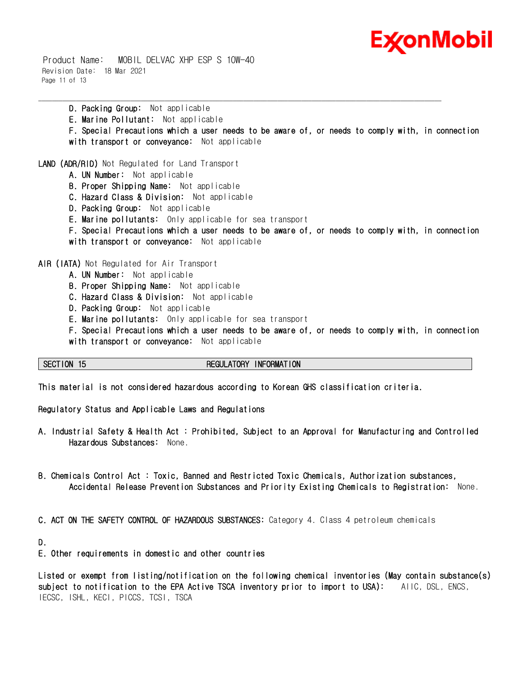

 Product Name: MOBIL DELVAC XHP ESP S 10W-40 Revision Date: 18 Mar 2021 Page 11 of 13

> **D. Packing Group:** Not applicable **E. Marine Pollutant:** Not applicable **F. Special Precautions which a user needs to be aware of, or needs to comply with, in connection with transport or conveyance:** Not applicable

\_\_\_\_\_\_\_\_\_\_\_\_\_\_\_\_\_\_\_\_\_\_\_\_\_\_\_\_\_\_\_\_\_\_\_\_\_\_\_\_\_\_\_\_\_\_\_\_\_\_\_\_\_\_\_\_\_\_\_\_\_\_\_\_\_\_\_\_\_\_\_\_\_\_\_\_\_\_\_\_\_\_\_\_\_\_\_\_\_\_\_\_\_\_\_\_\_\_\_\_\_\_\_\_\_\_\_\_\_\_\_\_\_\_\_\_\_\_

**LAND (ADR/RID)** Not Regulated for Land Transport

- **A. UN Number:** Not applicable
- **B. Proper Shipping Name:** Not applicable
- **C. Hazard Class & Division:** Not applicable
- **D. Packing Group:** Not applicable
- **E. Marine pollutants:** Only applicable for sea transport
- **F. Special Precautions which a user needs to be aware of, or needs to comply with, in connection with transport or conveyance:** Not applicable

**AIR (IATA)** Not Regulated for Air Transport

- **A. UN Number:** Not applicable
- **B. Proper Shipping Name:** Not applicable
- **C. Hazard Class & Division:** Not applicable
- **D. Packing Group:** Not applicable
- **E. Marine pollutants:** Only applicable for sea transport
- **F. Special Precautions which a user needs to be aware of, or needs to comply with, in connection with transport or conveyance:** Not applicable

#### **SECTION 15 REGULATORY INFORMATION**

**This material is not considered hazardous according to Korean GHS classification criteria.**

**Regulatory Status and Applicable Laws and Regulations**

- **A. Industrial Safety & Health Act : Prohibited, Subject to an Approval for Manufacturing and Controlled Hazardous Substances:** None.
- **B. Chemicals Control Act : Toxic, Banned and Restricted Toxic Chemicals, Authorization substances, Accidental Release Prevention Substances and Priority Existing Chemicals to Registration:** None.

**C. ACT ON THE SAFETY CONTROL OF HAZARDOUS SUBSTANCES:** Category 4. Class 4 petroleum chemicals

**E. Other requirements in domestic and other countries**

**Listed or exempt from listing/notification on the following chemical inventories (May contain substance(s) subject to notification to the EPA Active TSCA inventory prior to import to USA):** AIIC, DSL, ENCS, IECSC, ISHL, KECI, PICCS, TCSI, TSCA

**D.**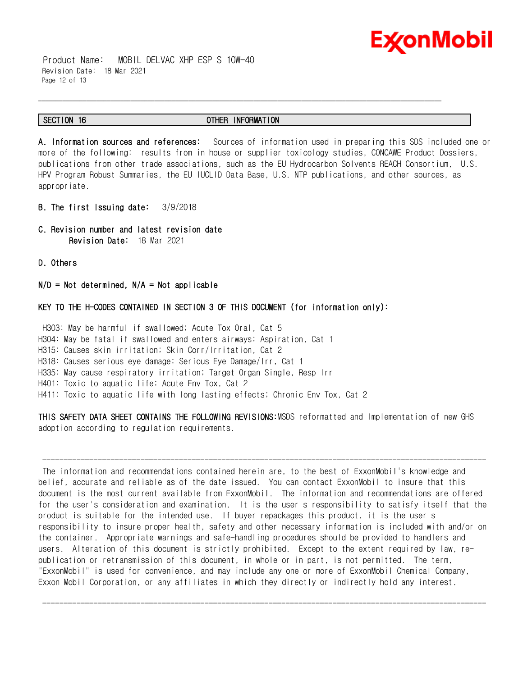

 Product Name: MOBIL DELVAC XHP ESP S 10W-40 Revision Date: 18 Mar 2021 Page 12 of 13

#### **SECTION 16 OTHER INFORMATION**

\_\_\_\_\_\_\_\_\_\_\_\_\_\_\_\_\_\_\_\_\_\_\_\_\_\_\_\_\_\_\_\_\_\_\_\_\_\_\_\_\_\_\_\_\_\_\_\_\_\_\_\_\_\_\_\_\_\_\_\_\_\_\_\_\_\_\_\_\_\_\_\_\_\_\_\_\_\_\_\_\_\_\_\_\_\_\_\_\_\_\_\_\_\_\_\_\_\_\_\_\_\_\_\_\_\_\_\_\_\_\_\_\_\_\_\_\_\_

**A. Information sources and references:** Sources of information used in preparing this SDS included one or more of the following: results from in house or supplier toxicology studies, CONCAWE Product Dossiers, publications from other trade associations, such as the EU Hydrocarbon Solvents REACH Consortium, U.S. HPV Program Robust Summaries, the EU IUCLID Data Base, U.S. NTP publications, and other sources, as appropriate.

- **B. The first Issuing date:** 3/9/2018
- **C. Revision number and latest revision date Revision Date:** 18 Mar 2021
- **D. Others**

#### **N/D = Not determined, N/A = Not applicable**

#### **KEY TO THE H-CODES CONTAINED IN SECTION 3 OF THIS DOCUMENT (for information only):**

 H303: May be harmful if swallowed; Acute Tox Oral, Cat 5 H304: May be fatal if swallowed and enters airways; Aspiration, Cat 1 H315: Causes skin irritation; Skin Corr/Irritation, Cat 2 H318: Causes serious eye damage; Serious Eye Damage/Irr, Cat 1 H335: May cause respiratory irritation; Target Organ Single, Resp Irr H401: Toxic to aquatic life; Acute Env Tox, Cat 2 H411: Toxic to aquatic life with long lasting effects; Chronic Env Tox, Cat 2

**THIS SAFETY DATA SHEET CONTAINS THE FOLLOWING REVISIONS:**MSDS reformatted and Implementation of new GHS adoption according to regulation requirements.

 The information and recommendations contained herein are, to the best of ExxonMobil's knowledge and belief, accurate and reliable as of the date issued. You can contact ExxonMobil to insure that this document is the most current available from ExxonMobil. The information and recommendations are offered for the user's consideration and examination. It is the user's responsibility to satisfy itself that the product is suitable for the intended use. If buyer repackages this product, it is the user's responsibility to insure proper health, safety and other necessary information is included with and/or on the container. Appropriate warnings and safe-handling procedures should be provided to handlers and users. Alteration of this document is strictly prohibited. Except to the extent required by law, republication or retransmission of this document, in whole or in part, is not permitted. The term, "ExxonMobil" is used for convenience, and may include any one or more of ExxonMobil Chemical Company, Exxon Mobil Corporation, or any affiliates in which they directly or indirectly hold any interest.

--------------------------------------------------------------------------------------------------------

--------------------------------------------------------------------------------------------------------